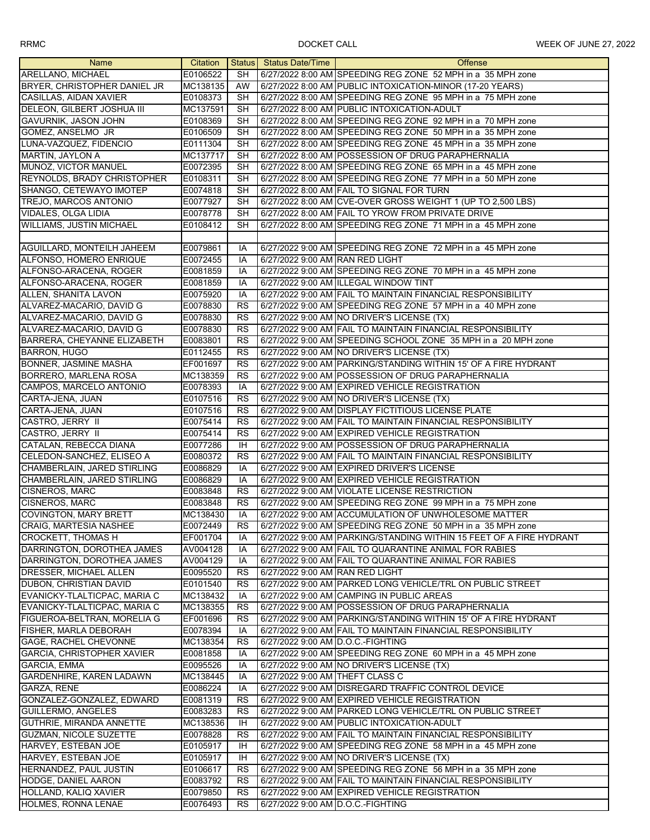| Name                              | Citation |                        | Status Status Date/Time           | <b>Offense</b>                                                      |
|-----------------------------------|----------|------------------------|-----------------------------------|---------------------------------------------------------------------|
| ARELLANO, MICHAEL                 | E0106522 | SH                     |                                   | 6/27/2022 8:00 AM SPEEDING REG ZONE 52 MPH in a 35 MPH zone         |
| BRYER, CHRISTOPHER DANIEL JR      | MC138135 | AW                     |                                   | 6/27/2022 8:00 AM PUBLIC INTOXICATION-MINOR (17-20 YEARS)           |
| CASILLAS, AIDAN XAVIER            | E0108373 | <b>SH</b>              |                                   | 6/27/2022 8:00 AM SPEEDING REG ZONE 95 MPH in a 75 MPH zone         |
| DELEON, GILBERT JOSHUA III        | MC137591 | <b>SH</b>              |                                   | 6/27/2022 8:00 AM PUBLIC INTOXICATION-ADULT                         |
| GAVURNIK, JASON JOHN              | E0108369 | <b>SH</b>              |                                   | 6/27/2022 8:00 AM SPEEDING REG ZONE 92 MPH in a 70 MPH zone         |
| GOMEZ, ANSELMO JR                 | E0106509 | <b>SH</b>              |                                   | 6/27/2022 8:00 AM SPEEDING REG ZONE 50 MPH in a 35 MPH zone         |
| LUNA-VAZQUEZ, FIDENCIO            | E0111304 | <b>SH</b>              |                                   | 6/27/2022 8:00 AM SPEEDING REG ZONE 45 MPH in a 35 MPH zone         |
|                                   |          |                        |                                   |                                                                     |
| <b>MARTIN, JAYLON A</b>           | MC137717 | SH                     |                                   | 6/27/2022 8:00 AM POSSESSION OF DRUG PARAPHERNALIA                  |
| MUNOZ, VICTOR MANUEL              | E0072395 | <b>SH</b>              |                                   | 6/27/2022 8:00 AM SPEEDING REG ZONE 65 MPH in a 45 MPH zone         |
| REYNOLDS, BRADY CHRISTOPHER       | E0108311 | <b>SH</b>              |                                   | 6/27/2022 8:00 AM SPEEDING REG ZONE 77 MPH in a 50 MPH zone         |
| SHANGO, CETEWAYO IMOTEP           | E0074818 | <b>SH</b>              |                                   | 6/27/2022 8:00 AM FAIL TO SIGNAL FOR TURN                           |
| <b>TREJO, MARCOS ANTONIO</b>      | E0077927 | <b>SH</b>              |                                   | 6/27/2022 8:00 AM CVE-OVER GROSS WEIGHT 1 (UP TO 2,500 LBS)         |
| <b>VIDALES, OLGA LIDIA</b>        | E0078778 | SH                     |                                   | 6/27/2022 8:00 AM FAIL TO YROW FROM PRIVATE DRIVE                   |
| WILLIAMS, JUSTIN MICHAEL          | E0108412 | <b>SH</b>              |                                   | 6/27/2022 8:00 AM SPEEDING REG ZONE 71 MPH in a 45 MPH zone         |
|                                   |          |                        |                                   |                                                                     |
| AGUILLARD, MONTEILH JAHEEM        | E0079861 | IA                     |                                   | 6/27/2022 9:00 AM SPEEDING REG ZONE 72 MPH in a 45 MPH zone         |
| ALFONSO, HOMERO ENRIQUE           | E0072455 | IA                     | 6/27/2022 9:00 AM RAN RED LIGHT   |                                                                     |
| ALFONSO-ARACENA, ROGER            | E0081859 | IA                     |                                   | 6/27/2022 9:00 AM SPEEDING REG ZONE 70 MPH in a 45 MPH zone         |
| ALFONSO-ARACENA, ROGER            | E0081859 | IA                     |                                   | 6/27/2022 9:00 AM ILLEGAL WINDOW TINT                               |
| ALLEN, SHANITA LAVON              | E0075920 | IA                     |                                   | 6/27/2022 9:00 AM FAIL TO MAINTAIN FINANCIAL RESPONSIBILITY         |
| ALVAREZ-MACARIO, DAVID G          | E0078830 | RS                     |                                   | 6/27/2022 9:00 AM SPEEDING REG ZONE 57 MPH in a 40 MPH zone         |
| ALVAREZ-MACARIO, DAVID G          | E0078830 | <b>RS</b>              |                                   | 6/27/2022 9:00 AM NO DRIVER'S LICENSE (TX)                          |
| ALVAREZ-MACARIO, DAVID G          | E0078830 | <b>RS</b>              |                                   | 6/27/2022 9:00 AM FAIL TO MAINTAIN FINANCIAL RESPONSIBILITY         |
| BARRERA, CHEYANNE ELIZABETH       | E0083801 | <b>RS</b>              |                                   | 6/27/2022 9:00 AM SPEEDING SCHOOL ZONE 35 MPH in a 20 MPH zone      |
| <b>BARRON, HUGO</b>               | E0112455 | RS                     |                                   | 6/27/2022 9:00 AM NO DRIVER'S LICENSE (TX)                          |
| BONNER, JASMINE MASHA             | EF001697 | <b>RS</b>              |                                   | 6/27/2022 9:00 AM PARKING/STANDING WITHIN 15' OF A FIRE HYDRANT     |
| BORRERO, MARLENA ROSA             | MC138359 | <b>RS</b>              |                                   | 6/27/2022 9:00 AM POSSESSION OF DRUG PARAPHERNALIA                  |
| CAMPOS, MARCELO ANTONIO           | E0078393 | IA                     |                                   | 6/27/2022 9:00 AM EXPIRED VEHICLE REGISTRATION                      |
| CARTA-JENA, JUAN                  | E0107516 | <b>RS</b>              |                                   | 6/27/2022 9:00 AM NO DRIVER'S LICENSE (TX)                          |
| CARTA-JENA, JUAN                  | E0107516 | <b>RS</b>              |                                   | 6/27/2022 9:00 AM DISPLAY FICTITIOUS LICENSE PLATE                  |
| CASTRO, JERRY II                  | E0075414 | <b>RS</b>              |                                   | 6/27/2022 9:00 AM FAIL TO MAINTAIN FINANCIAL RESPONSIBILITY         |
| CASTRO, JERRY II                  | E0075414 | <b>RS</b>              |                                   | 6/27/2022 9:00 AM EXPIRED VEHICLE REGISTRATION                      |
| CATALAN, REBECCA DIANA            | E0077286 | IH                     |                                   | 6/27/2022 9:00 AM POSSESSION OF DRUG PARAPHERNALIA                  |
| CELEDON-SANCHEZ, ELISEO A         | E0080372 | <b>RS</b>              |                                   | 6/27/2022 9:00 AM FAIL TO MAINTAIN FINANCIAL RESPONSIBILITY         |
| CHAMBERLAIN, JARED STIRLING       | E0086829 | IA                     |                                   | 6/27/2022 9:00 AM EXPIRED DRIVER'S LICENSE                          |
| CHAMBERLAIN, JARED STIRLING       | E0086829 | IA                     |                                   | 6/27/2022 9:00 AM EXPIRED VEHICLE REGISTRATION                      |
| CISNEROS, MARC                    | E0083848 | <b>RS</b>              |                                   | 6/27/2022 9:00 AM VIOLATE LICENSE RESTRICTION                       |
| <b>CISNEROS, MARC</b>             | E0083848 | <b>RS</b>              |                                   | 6/27/2022 9:00 AM SPEEDING REG ZONE 99 MPH in a 75 MPH zone         |
| <b>COVINGTON, MARY BRETT</b>      | MC138430 | IA                     |                                   | 6/27/2022 9:00 AM ACCUMULATION OF UNWHOLESOME MATTER                |
| CRAIG, MARTESIA NASHEE            | E0072449 | $\overline{\text{RS}}$ |                                   | 6/27/2022 9:00 AM SPEEDING REG ZONE 50 MPH in a 35 MPH zone         |
| <b>CROCKETT, THOMAS H</b>         | EF001704 | IA                     |                                   | 6/27/2022 9:00 AM PARKING/STANDING WITHIN 15 FEET OF A FIRE HYDRANT |
| DARRINGTON, DOROTHEA JAMES        | AV004128 | IA                     |                                   | 6/27/2022 9:00 AM FAIL TO QUARANTINE ANIMAL FOR RABIES              |
| DARRINGTON, DOROTHEA JAMES        | AV004129 |                        |                                   | 6/27/2022 9:00 AM FAIL TO QUARANTINE ANIMAL FOR RABIES              |
|                                   |          | IA                     |                                   |                                                                     |
| DRESSER, MICHAEL ALLEN            | E0095520 | <b>RS</b>              | 6/27/2022 9:00 AM RAN RED LIGHT   |                                                                     |
| DUBON, CHRISTIAN DAVID            | E0101540 | RS                     |                                   | 6/27/2022 9:00 AM PARKED LONG VEHICLE/TRL ON PUBLIC STREET          |
| EVANICKY-TLALTICPAC, MARIA C      | MC138432 | IA                     |                                   | 6/27/2022 9:00 AM CAMPING IN PUBLIC AREAS                           |
| EVANICKY-TLALTICPAC, MARIA C      | MC138355 | <b>RS</b>              |                                   | 6/27/2022 9:00 AM POSSESSION OF DRUG PARAPHERNALIA                  |
| FIGUEROA-BELTRAN, MORELIA G       | EF001696 | RS                     |                                   | 6/27/2022 9:00 AM PARKING/STANDING WITHIN 15' OF A FIRE HYDRANT     |
| FISHER, MARLA DEBORAH             | E0078394 | IA                     |                                   | 6/27/2022 9:00 AM FAIL TO MAINTAIN FINANCIAL RESPONSIBILITY         |
| GAGE, RACHEL CHEVONNE             | MC138354 | RS                     | 6/27/2022 9:00 AM D.O.C.-FIGHTING |                                                                     |
| <b>GARCIA, CHRISTOPHER XAVIER</b> | E0081858 | IA                     |                                   | 6/27/2022 9:00 AM SPEEDING REG ZONE 60 MPH in a 45 MPH zone         |
| <b>GARCIA, EMMA</b>               | E0095526 | IA                     |                                   | 6/27/2022 9:00 AM NO DRIVER'S LICENSE (TX)                          |
| <b>GARDENHIRE, KAREN LADAWN</b>   | MC138445 | IA                     | 6/27/2022 9:00 AM THEFT CLASS C   |                                                                     |
| GARZA, RENE                       | E0086224 | IA                     |                                   | 6/27/2022 9:00 AM DISREGARD TRAFFIC CONTROL DEVICE                  |
| GONZALEZ-GONZALEZ, EDWARD         | E0081319 | RS                     |                                   | 6/27/2022 9:00 AM EXPIRED VEHICLE REGISTRATION                      |
| GUILLERMO, ANGELES                | E0083283 | <b>RS</b>              |                                   | 6/27/2022 9:00 AM PARKED LONG VEHICLE/TRL ON PUBLIC STREET          |
| GUTHRIE, MIRANDA ANNETTE          | MC138536 | IH                     |                                   | 6/27/2022 9:00 AM PUBLIC INTOXICATION-ADULT                         |
| <b>GUZMAN, NICOLE SUZETTE</b>     | E0078828 | <b>RS</b>              |                                   | 6/27/2022 9:00 AM FAIL TO MAINTAIN FINANCIAL RESPONSIBILITY         |
| HARVEY, ESTEBAN JOE               | E0105917 | IH                     |                                   | 6/27/2022 9:00 AM SPEEDING REG ZONE 58 MPH in a 45 MPH zone         |
| HARVEY, ESTEBAN JOE               | E0105917 | IH                     |                                   | 6/27/2022 9:00 AM NO DRIVER'S LICENSE (TX)                          |
| HERNANDEZ, PAUL JUSTIN            | E0106617 | <b>RS</b>              |                                   | 6/27/2022 9:00 AM SPEEDING REG ZONE 56 MPH in a 35 MPH zone         |
| HODGE, DANIEL AARON               | E0083792 | <b>RS</b>              |                                   | 6/27/2022 9:00 AM FAIL TO MAINTAIN FINANCIAL RESPONSIBILITY         |
| HOLLAND, KALIQ XAVIER             | E0079850 | RS                     |                                   | 6/27/2022 9:00 AM EXPIRED VEHICLE REGISTRATION                      |
| HOLMES, RONNA LENAE               | E0076493 | <b>RS</b>              | 6/27/2022 9:00 AM D.O.C.-FIGHTING |                                                                     |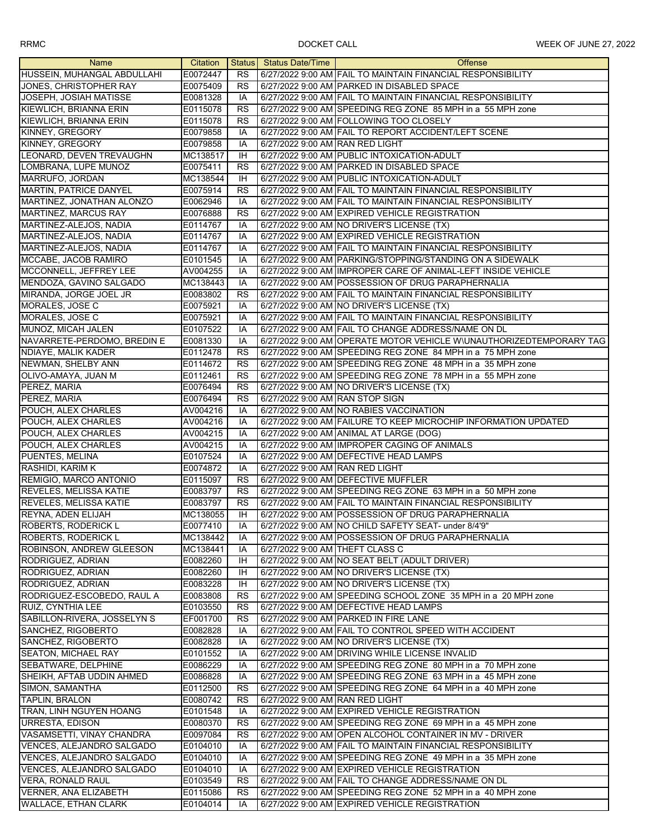| <b>Name</b>                      | Citation |                 | Status Status Date/Time         | Offense                                                             |
|----------------------------------|----------|-----------------|---------------------------------|---------------------------------------------------------------------|
| HUSSEIN, MUHANGAL ABDULLAHI      | E0072447 | <b>RS</b>       |                                 | 6/27/2022 9:00 AM FAIL TO MAINTAIN FINANCIAL RESPONSIBILITY         |
| JONES, CHRISTOPHER RAY           | E0075409 | <b>RS</b>       |                                 | 6/27/2022 9:00 AM PARKED IN DISABLED SPACE                          |
| JOSEPH, JOSIAH MATISSE           | E0081328 | IA              |                                 | 6/27/2022 9:00 AM FAIL TO MAINTAIN FINANCIAL RESPONSIBILITY         |
| KIEWLICH, BRIANNA ERIN           | E0115078 | <b>RS</b>       |                                 | 6/27/2022 9:00 AM SPEEDING REG ZONE 85 MPH in a 55 MPH zone         |
| KIEWLICH, BRIANNA ERIN           | E0115078 | <b>RS</b>       |                                 | 6/27/2022 9:00 AM FOLLOWING TOO CLOSELY                             |
| KINNEY, GREGORY                  | E0079858 | IA              |                                 | 6/27/2022 9:00 AM FAIL TO REPORT ACCIDENT/LEFT SCENE                |
| <b>KINNEY, GREGORY</b>           | E0079858 | IA              | 6/27/2022 9:00 AM RAN RED LIGHT |                                                                     |
| LEONARD, DEVEN TREVAUGHN         |          | <b>IH</b>       |                                 | 6/27/2022 9:00 AM PUBLIC INTOXICATION-ADULT                         |
|                                  | MC138517 |                 |                                 |                                                                     |
| LOMBRANA, LUPE MUNOZ             | E0075411 | <b>RS</b>       |                                 | 6/27/2022 9:00 AM PARKED IN DISABLED SPACE                          |
| MARRUFO, JORDAN                  | MC138544 | ΙH              |                                 | 6/27/2022 9:00 AM PUBLIC INTOXICATION-ADULT                         |
| MARTIN, PATRICE DANYEL           | E0075914 | <b>RS</b>       |                                 | 6/27/2022 9:00 AM FAIL TO MAINTAIN FINANCIAL RESPONSIBILITY         |
| MARTINEZ, JONATHAN ALONZO        | E0062946 | IA              |                                 | 6/27/2022 9:00 AM FAIL TO MAINTAIN FINANCIAL RESPONSIBILITY         |
| MARTINEZ, MARCUS RAY             | E0076888 | RS              |                                 | 6/27/2022 9:00 AM EXPIRED VEHICLE REGISTRATION                      |
| MARTINEZ-ALEJOS, NADIA           | E0114767 | IA              |                                 | 6/27/2022 9:00 AM NO DRIVER'S LICENSE (TX)                          |
| MARTINEZ-ALEJOS, NADIA           | E0114767 | IA              |                                 | 6/27/2022 9:00 AM EXPIRED VEHICLE REGISTRATION                      |
| MARTINEZ-ALEJOS, NADIA           | E0114767 | IA              |                                 | 6/27/2022 9:00 AM FAIL TO MAINTAIN FINANCIAL RESPONSIBILITY         |
| MCCABE, JACOB RAMIRO             | E0101545 | IA              |                                 | 6/27/2022 9:00 AM PARKING/STOPPING/STANDING ON A SIDEWALK           |
| MCCONNELL, JEFFREY LEE           | AV004255 | IA              |                                 | 6/27/2022 9:00 AM IMPROPER CARE OF ANIMAL-LEFT INSIDE VEHICLE       |
| MENDOZA, GAVINO SALGADO          | MC138443 | IA              |                                 | 6/27/2022 9:00 AM POSSESSION OF DRUG PARAPHERNALIA                  |
| MIRANDA, JORGE JOEL JR           | E0083802 | <b>RS</b>       |                                 | 6/27/2022 9:00 AM FAIL TO MAINTAIN FINANCIAL RESPONSIBILITY         |
| MORALES, JOSE C                  | E0075921 | IA              |                                 | 6/27/2022 9:00 AM NO DRIVER'S LICENSE (TX)                          |
| MORALES, JOSE C                  | E0075921 | IA              |                                 | 6/27/2022 9:00 AM FAIL TO MAINTAIN FINANCIAL RESPONSIBILITY         |
| MUNOZ, MICAH JALEN               | E0107522 | IA              |                                 | 6/27/2022 9:00 AM FAIL TO CHANGE ADDRESS/NAME ON DL                 |
| NAVARRETE-PERDOMO, BREDIN E      | E0081330 | IA              |                                 | 6/27/2022 9:00 AM OPERATE MOTOR VEHICLE WIUNAUTHORIZEDTEMPORARY TAG |
| NDIAYE, MALIK KADER              | E0112478 | <b>RS</b>       |                                 | 6/27/2022 9:00 AM SPEEDING REG ZONE 84 MPH in a 75 MPH zone         |
|                                  |          |                 |                                 |                                                                     |
| NEWMAN, SHELBY ANN               | E0114672 | <b>RS</b>       |                                 | 6/27/2022 9:00 AM SPEEDING REG ZONE 48 MPH in a 35 MPH zone         |
| OLIVO-AMAYA, JUAN M              | E0112461 | <b>RS</b>       |                                 | 6/27/2022 9:00 AM SPEEDING REG ZONE 78 MPH in a 55 MPH zone         |
| PEREZ, MARIA                     | E0076494 | $\overline{RS}$ |                                 | 6/27/2022 9:00 AM NO DRIVER'S LICENSE (TX)                          |
| PEREZ, MARIA                     | E0076494 | <b>RS</b>       | 6/27/2022 9:00 AM RAN STOP SIGN |                                                                     |
| POUCH, ALEX CHARLES              | AV004216 | IA              |                                 | 6/27/2022 9:00 AM NO RABIES VACCINATION                             |
| POUCH, ALEX CHARLES              | AV004216 | IA              |                                 | 6/27/2022 9:00 AM FAILURE TO KEEP MICROCHIP INFORMATION UPDATED     |
| POUCH, ALEX CHARLES              | AV004215 | IA              |                                 | 6/27/2022 9:00 AM ANIMAL AT LARGE (DOG)                             |
| POUCH, ALEX CHARLES              | AV004215 | IA              |                                 | 6/27/2022 9:00 AM IMPROPER CAGING OF ANIMALS                        |
| PUENTES, MELINA                  | E0107524 | IA              |                                 | 6/27/2022 9:00 AM DEFECTIVE HEAD LAMPS                              |
| <b>RASHIDI, KARIM K</b>          | E0074872 | IA              | 6/27/2022 9:00 AM RAN RED LIGHT |                                                                     |
| REMIGIO, MARCO ANTONIO           | E0115097 | <b>RS</b>       |                                 | 6/27/2022 9:00 AM DEFECTIVE MUFFLER                                 |
| <b>REVELES, MELISSA KATIE</b>    | E0083797 | <b>RS</b>       |                                 | 6/27/2022 9:00 AM SPEEDING REG ZONE 63 MPH in a 50 MPH zone         |
| <b>REVELES, MELISSA KATIE</b>    | E0083797 | <b>RS</b>       |                                 | 6/27/2022 9:00 AM FAIL TO MAINTAIN FINANCIAL RESPONSIBILITY         |
| REYNA, ADEN ELIJAH               | MC138055 | IH              |                                 | 6/27/2022 9:00 AM POSSESSION OF DRUG PARAPHERNALIA                  |
| <b>ROBERTS, RODERICK L</b>       | E0077410 | IA              |                                 | 6/27/2022 9:00 AM NO CHILD SAFETY SEAT- under 8/4'9"                |
| <b>ROBERTS, RODERICK L</b>       | MC138442 | IA              |                                 | 6/27/2022 9:00 AM POSSESSION OF DRUG PARAPHERNALIA                  |
| ROBINSON, ANDREW GLEESON         | MC138441 | IA              | 6/27/2022 9:00 AM THEFT CLASS C |                                                                     |
| RODRIGUEZ, ADRIAN                | E0082260 | IH              |                                 | 6/27/2022 9:00 AM NO SEAT BELT (ADULT DRIVER)                       |
| RODRIGUEZ, ADRIAN                | E0082260 | IH              |                                 | 6/27/2022 9:00 AM NO DRIVER'S LICENSE (TX)                          |
| RODRIGUEZ, ADRIAN                | E0083228 | ΙH              |                                 | 6/27/2022 9:00 AM NO DRIVER'S LICENSE (TX)                          |
| RODRIGUEZ-ESCOBEDO, RAUL A       | E0083808 | <b>RS</b>       |                                 | 6/27/2022 9:00 AM SPEEDING SCHOOL ZONE 35 MPH in a 20 MPH zone      |
| RUIZ, CYNTHIA LEE                | E0103550 | <b>RS</b>       |                                 | 6/27/2022 9:00 AM DEFECTIVE HEAD LAMPS                              |
| SABILLON-RIVERA, JOSSELYN S      | EF001700 | <b>RS</b>       |                                 | 6/27/2022 9:00 AM PARKED IN FIRE LANE                               |
| SANCHEZ, RIGOBERTO               | E0082828 | IA              |                                 | 6/27/2022 9:00 AM FAIL TO CONTROL SPEED WITH ACCIDENT               |
| SANCHEZ, RIGOBERTO               | E0082828 | IA              |                                 | 6/27/2022 9:00 AM NO DRIVER'S LICENSE (TX)                          |
| <b>SEATON, MICHAEL RAY</b>       | E0101552 | IA              |                                 | 6/27/2022 9:00 AM DRIVING WHILE LICENSE INVALID                     |
| <b>SEBATWARE, DELPHINE</b>       | E0086229 | IA              |                                 | 6/27/2022 9:00 AM SPEEDING REG ZONE 80 MPH in a 70 MPH zone         |
| SHEIKH, AFTAB UDDIN AHMED        | E0086828 | IA              |                                 | 6/27/2022 9:00 AM SPEEDING REG ZONE 63 MPH in a 45 MPH zone         |
| SIMON, SAMANTHA                  | E0112500 | RS              |                                 | 6/27/2022 9:00 AM SPEEDING REG ZONE 64 MPH in a 40 MPH zone         |
|                                  |          |                 |                                 |                                                                     |
| <b>TAPLIN, BRALON</b>            | E0080742 | RS              | 6/27/2022 9:00 AM RAN RED LIGHT |                                                                     |
| TRAN, LINH NGUYEN HOANG          | E0101548 | IA              |                                 | 6/27/2022 9:00 AM EXPIRED VEHICLE REGISTRATION                      |
| <b>URRESTA, EDISON</b>           | E0080370 | RS              |                                 | 6/27/2022 9:00 AM SPEEDING REG ZONE 69 MPH in a 45 MPH zone         |
| <b>VASAMSETTI, VINAY CHANDRA</b> | E0097084 | <b>RS</b>       |                                 | 6/27/2022 9:00 AM OPEN ALCOHOL CONTAINER IN MV - DRIVER             |
| <b>VENCES, ALEJANDRO SALGADO</b> | E0104010 | IA              |                                 | 6/27/2022 9:00 AM FAIL TO MAINTAIN FINANCIAL RESPONSIBILITY         |
| VENCES, ALEJANDRO SALGADO        | E0104010 | IA              |                                 | 6/27/2022 9:00 AM SPEEDING REG ZONE 49 MPH in a 35 MPH zone         |
| VENCES, ALEJANDRO SALGADO        | E0104010 | IA              |                                 | 6/27/2022 9:00 AM EXPIRED VEHICLE REGISTRATION                      |
| <b>VERA, RONALD RAUL</b>         | E0103549 | <b>RS</b>       |                                 | 6/27/2022 9:00 AM FAIL TO CHANGE ADDRESS/NAME ON DL                 |
| VERNER, ANA ELIZABETH            | E0115086 | <b>RS</b>       |                                 | 6/27/2022 9:00 AM SPEEDING REG ZONE 52 MPH in a 40 MPH zone         |
| WALLACE, ETHAN CLARK             | E0104014 | IA              |                                 | 6/27/2022 9:00 AM EXPIRED VEHICLE REGISTRATION                      |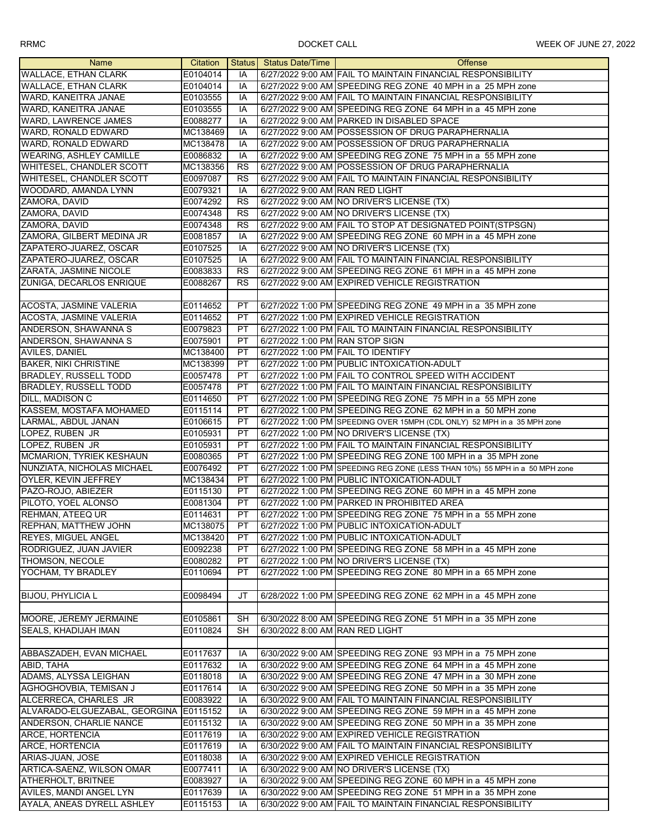| <b>Name</b>                     | Citation |           | Status Status Date/Time         | <b>Offense</b>                                                              |
|---------------------------------|----------|-----------|---------------------------------|-----------------------------------------------------------------------------|
| <b>WALLACE, ETHAN CLARK</b>     | E0104014 | IA        |                                 | 6/27/2022 9:00 AM FAIL TO MAINTAIN FINANCIAL RESPONSIBILITY                 |
| <b>WALLACE, ETHAN CLARK</b>     | E0104014 | IA        |                                 | 6/27/2022 9:00 AM SPEEDING REG ZONE 40 MPH in a 25 MPH zone                 |
| WARD, KANEITRA JANAE            | E0103555 | IA        |                                 | 6/27/2022 9:00 AM FAIL TO MAINTAIN FINANCIAL RESPONSIBILITY                 |
| WARD, KANEITRA JANAE            | E0103555 | IA        |                                 | 6/27/2022 9:00 AM SPEEDING REG ZONE 64 MPH in a 45 MPH zone                 |
| WARD, LAWRENCE JAMES            | E0088277 | IA        |                                 | 6/27/2022 9:00 AM PARKED IN DISABLED SPACE                                  |
| WARD, RONALD EDWARD             | MC138469 | IA        |                                 | 6/27/2022 9:00 AM POSSESSION OF DRUG PARAPHERNALIA                          |
| WARD, RONALD EDWARD             |          |           |                                 | 6/27/2022 9:00 AM POSSESSION OF DRUG PARAPHERNALIA                          |
|                                 | MC138478 | IA        |                                 |                                                                             |
| <b>WEARING, ASHLEY CAMILLE</b>  | E0086832 | IA        |                                 | 6/27/2022 9:00 AM SPEEDING REG ZONE 75 MPH in a 55 MPH zone                 |
| WHITESEL, CHANDLER SCOTT        | MC138356 | <b>RS</b> |                                 | 6/27/2022 9:00 AM POSSESSION OF DRUG PARAPHERNALIA                          |
| WHITESEL, CHANDLER SCOTT        | E0097087 | <b>RS</b> |                                 | 6/27/2022 9:00 AM FAIL TO MAINTAIN FINANCIAL RESPONSIBILITY                 |
| WOODARD, AMANDA LYNN            | E0079321 | IA        | 6/27/2022 9:00 AM RAN RED LIGHT |                                                                             |
| ZAMORA, DAVID                   | E0074292 | <b>RS</b> |                                 | 6/27/2022 9:00 AM NO DRIVER'S LICENSE (TX)                                  |
| ZAMORA, DAVID                   | E0074348 | RS        |                                 | 6/27/2022 9:00 AM NO DRIVER'S LICENSE (TX)                                  |
| ZAMORA, DAVID                   | E0074348 | <b>RS</b> |                                 | 6/27/2022 9:00 AM FAIL TO STOP AT DESIGNATED POINT(STPSGN)                  |
| ZAMORA, GILBERT MEDINA JR       | E0081857 | IA        |                                 | 6/27/2022 9:00 AM SPEEDING REG ZONE 60 MPH in a 45 MPH zone                 |
| ZAPATERO-JUAREZ, OSCAR          | E0107525 | IA        |                                 | 6/27/2022 9:00 AM NO DRIVER'S LICENSE (TX)                                  |
| ZAPATERO-JUAREZ, OSCAR          | E0107525 | IA        |                                 | 6/27/2022 9:00 AM FAIL TO MAINTAIN FINANCIAL RESPONSIBILITY                 |
| ZARATA, JASMINE NICOLE          | E0083833 | <b>RS</b> |                                 | 6/27/2022 9:00 AM SPEEDING REG ZONE 61 MPH in a 45 MPH zone                 |
| ZUNIGA, DECARLOS ENRIQUE        | E0088267 | <b>RS</b> |                                 | 6/27/2022 9:00 AM EXPIRED VEHICLE REGISTRATION                              |
|                                 |          |           |                                 |                                                                             |
| ACOSTA, JASMINE VALERIA         | E0114652 | PT        |                                 | 6/27/2022 1:00 PM SPEEDING REG ZONE 49 MPH in a 35 MPH zone                 |
| ACOSTA, JASMINE VALERIA         | E0114652 | <b>PT</b> |                                 | 6/27/2022 1:00 PM EXPIRED VEHICLE REGISTRATION                              |
| ANDERSON, SHAWANNA S            | E0079823 | <b>PT</b> |                                 | 6/27/2022 1:00 PM FAIL TO MAINTAIN FINANCIAL RESPONSIBILITY                 |
| ANDERSON, SHAWANNA S            | E0075901 | PT.       | 6/27/2022 1:00 PM RAN STOP SIGN |                                                                             |
| <b>AVILES, DANIEL</b>           | MC138400 | PT        |                                 | 6/27/2022 1:00 PM FAIL TO IDENTIFY                                          |
|                                 |          |           |                                 | 6/27/2022 1:00 PM PUBLIC INTOXICATION-ADULT                                 |
| <b>BAKER, NIKI CHRISTINE</b>    | MC138399 | PT<br>PT  |                                 |                                                                             |
| BRADLEY, RUSSELL TODD           | E0057478 |           |                                 | 6/27/2022 1:00 PM FAIL TO CONTROL SPEED WITH ACCIDENT                       |
| <b>BRADLEY, RUSSELL TODD</b>    | E0057478 | PT        |                                 | 6/27/2022 1:00 PM FAIL TO MAINTAIN FINANCIAL RESPONSIBILITY                 |
| DILL, MADISON C                 | E0114650 | PT        |                                 | 6/27/2022 1:00 PM SPEEDING REG ZONE 75 MPH in a 55 MPH zone                 |
| KASSEM, MOSTAFA MOHAMED         | E0115114 | PT        |                                 | 6/27/2022 1:00 PM SPEEDING REG ZONE 62 MPH in a 50 MPH zone                 |
| LARMAL, ABDUL JANAN             | E0106615 | PT        |                                 | 6/27/2022 1:00 PM SPEEDING OVER 15MPH (CDL ONLY) 52 MPH in a 35 MPH zone    |
| LOPEZ, RUBEN JR                 | E0105931 | PT        |                                 | 6/27/2022 1:00 PM NO DRIVER'S LICENSE (TX)                                  |
| LOPEZ, RUBEN JR                 | E0105931 | PT        |                                 | 6/27/2022 1:00 PM FAIL TO MAINTAIN FINANCIAL RESPONSIBILITY                 |
| <b>MCMARION, TYRIEK KESHAUN</b> | E0080365 | PT        |                                 | 6/27/2022 1:00 PM SPEEDING REG ZONE 100 MPH in a 35 MPH zone                |
| NUNZIATA, NICHOLAS MICHAEL      | E0076492 | PT        |                                 | 6/27/2022 1:00 PM SPEEDING REG ZONE (LESS THAN 10%) 55 MPH in a 50 MPH zone |
| OYLER, KEVIN JEFFREY            | MC138434 | PT        |                                 | 6/27/2022 1:00 PM PUBLIC INTOXICATION-ADULT                                 |
| PAZO-ROJO, ABIEZER              | E0115130 | PT        |                                 | 6/27/2022 1:00 PM SPEEDING REG ZONE 60 MPH in a 45 MPH zone                 |
| PILOTO, YOEL ALONSO             | E0081304 | PT        |                                 | 6/27/2022 1:00 PM PARKED IN PROHIBITED AREA                                 |
| <b>REHMAN, ATEEQ UR</b>         | E0114631 | <b>PT</b> |                                 | 6/27/2022 1:00 PM SPEEDING REG ZONE 75 MPH in a 55 MPH zone                 |
| REPHAN, MATTHEW JOHN            | MC138075 | PT.       |                                 | 6/27/2022 1:00 PM PUBLIC INTOXICATION-ADULT                                 |
| <b>REYES, MIGUEL ANGEL</b>      | MC138420 | РT        |                                 | 6/27/2022 1:00 PM PUBLIC INTOXICATION-ADULT                                 |
| RODRIGUEZ, JUAN JAVIER          | E0092238 | PT        |                                 | 6/27/2022 1:00 PM SPEEDING REG ZONE 58 MPH in a 45 MPH zone                 |
| <b>THOMSON, NECOLE</b>          | E0080282 | PT        |                                 | 6/27/2022 1:00 PM NO DRIVER'S LICENSE (TX)                                  |
| YOCHAM, TY BRADLEY              | E0110694 | PT        |                                 | 6/27/2022 1:00 PM SPEEDING REG ZONE 80 MPH in a 65 MPH zone                 |
|                                 |          |           |                                 |                                                                             |
| <b>BIJOU, PHYLICIA L</b>        | E0098494 | JT        |                                 | 6/28/2022 1:00 PM SPEEDING REG ZONE 62 MPH in a 45 MPH zone                 |
|                                 |          |           |                                 |                                                                             |
| MOORE, JEREMY JERMAINE          | E0105861 | SH        |                                 | 6/30/2022 8:00 AM SPEEDING REG ZONE 51 MPH in a 35 MPH zone                 |
| SEALS, KHADIJAH IMAN            | E0110824 | SH        | 6/30/2022 8:00 AM RAN RED LIGHT |                                                                             |
|                                 |          |           |                                 |                                                                             |
| ABBASZADEH, EVAN MICHAEL        | E0117637 | IA        |                                 | 6/30/2022 9:00 AM SPEEDING REG ZONE 93 MPH in a 75 MPH zone                 |
| ABID, TAHA                      | E0117632 | IA        |                                 | 6/30/2022 9:00 AM SPEEDING REG ZONE 64 MPH in a 45 MPH zone                 |
| ADAMS, ALYSSA LEIGHAN           | E0118018 | IA        |                                 | 6/30/2022 9:00 AM SPEEDING REG ZONE 47 MPH in a 30 MPH zone                 |
| AGHOGHOVBIA, TEMISAN J          | E0117614 | IA        |                                 | 6/30/2022 9:00 AM SPEEDING REG ZONE 50 MPH in a 35 MPH zone                 |
| ALCERRECA, CHARLES JR           | E0083922 | IA        |                                 | 6/30/2022 9:00 AM FAIL TO MAINTAIN FINANCIAL RESPONSIBILITY                 |
| ALVARADO-ELGUEZABAL, GEORGINA   | E0115152 | IA        |                                 | 6/30/2022 9:00 AM SPEEDING REG ZONE 59 MPH in a 45 MPH zone                 |
| ANDERSON, CHARLIE NANCE         | E0115132 | IA        |                                 | 6/30/2022 9:00 AM SPEEDING REG ZONE 50 MPH in a 35 MPH zone                 |
|                                 |          |           |                                 |                                                                             |
| <b>ARCE, HORTENCIA</b>          | E0117619 | IA        |                                 | 6/30/2022 9:00 AM EXPIRED VEHICLE REGISTRATION                              |
| ARCE, HORTENCIA                 | E0117619 | IA        |                                 | 6/30/2022 9:00 AM FAIL TO MAINTAIN FINANCIAL RESPONSIBILITY                 |
| ARIAS-JUAN, JOSE                | E0118038 | IA        |                                 | 6/30/2022 9:00 AM EXPIRED VEHICLE REGISTRATION                              |
| ARTICA-SAENZ, WILSON OMAR       | E0077411 | IA        |                                 | 6/30/2022 9:00 AM NO DRIVER'S LICENSE (TX)                                  |
| ATHERHOLT, BRITNEE              | E0083927 | IA        |                                 | 6/30/2022 9:00 AM SPEEDING REG ZONE 60 MPH in a 45 MPH zone                 |
| AVILES, MANDI ANGEL LYN         | E0117639 | IA        |                                 | 6/30/2022 9:00 AM SPEEDING REG ZONE 51 MPH in a 35 MPH zone                 |
| AYALA, ANEAS DYRELL ASHLEY      | E0115153 | IA        |                                 | 6/30/2022 9:00 AM FAIL TO MAINTAIN FINANCIAL RESPONSIBILITY                 |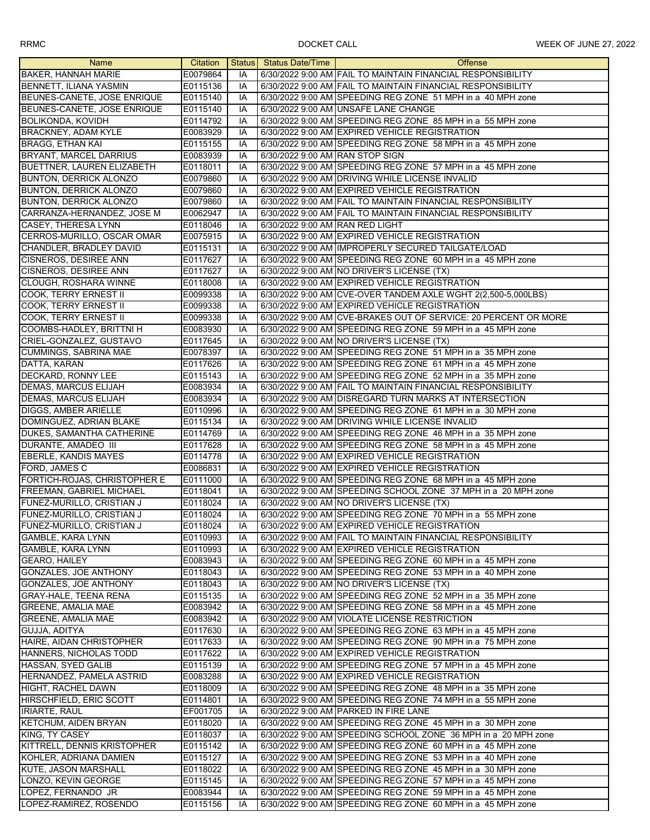| Name                          | Citation |    | Status Status Date/Time         | <b>Offense</b>                                                  |
|-------------------------------|----------|----|---------------------------------|-----------------------------------------------------------------|
| <b>BAKER, HANNAH MARIE</b>    | E0079864 | IA |                                 | 6/30/2022 9:00 AM FAIL TO MAINTAIN FINANCIAL RESPONSIBILITY     |
| <b>BENNETT, ILIANA YASMIN</b> | E0115136 | IA |                                 | 6/30/2022 9:00 AM FAIL TO MAINTAIN FINANCIAL RESPONSIBILITY     |
| BEUNES-CANETE, JOSE ENRIQUE   | E0115140 | IA |                                 | 6/30/2022 9:00 AM SPEEDING REG ZONE 51 MPH in a 40 MPH zone     |
| BEUNES-CANETE, JOSE ENRIQUE   | E0115140 | IA |                                 | 6/30/2022 9:00 AM UNSAFE LANE CHANGE                            |
| <b>BOLIKONDA, KOVIDH</b>      | E0114792 | IA |                                 | 6/30/2022 9:00 AM SPEEDING REG ZONE 85 MPH in a 55 MPH zone     |
| <b>BRACKNEY, ADAM KYLE</b>    | E0083929 | IA |                                 | 6/30/2022 9:00 AM EXPIRED VEHICLE REGISTRATION                  |
| <b>BRAGG, ETHAN KAI</b>       | E0115155 | IA |                                 | 6/30/2022 9:00 AM SPEEDING REG ZONE 58 MPH in a 45 MPH zone     |
| <b>BRYANT, MARCEL DARRIUS</b> | E0083939 | IA | 6/30/2022 9:00 AM RAN STOP SIGN |                                                                 |
| BUETTNER, LAUREN ELIZABETH    | E0118011 | IA |                                 | 6/30/2022 9:00 AM SPEEDING REG ZONE 57 MPH in a 45 MPH zone     |
| <b>BUNTON, DERRICK ALONZO</b> | E0079860 | IA |                                 | 6/30/2022 9:00 AM DRIVING WHILE LICENSE INVALID                 |
| <b>BUNTON, DERRICK ALONZO</b> | E0079860 | IA |                                 | 6/30/2022 9:00 AM EXPIRED VEHICLE REGISTRATION                  |
| BUNTON, DERRICK ALONZO        | E0079860 | IA |                                 | 6/30/2022 9:00 AM FAIL TO MAINTAIN FINANCIAL RESPONSIBILITY     |
| CARRANZA-HERNANDEZ, JOSE M    | E0062947 | IA |                                 | 6/30/2022 9:00 AM FAIL TO MAINTAIN FINANCIAL RESPONSIBILITY     |
| <b>CASEY, THERESA LYNN</b>    | E0118046 | IA | 6/30/2022 9:00 AM RAN RED LIGHT |                                                                 |
| CERROS-MURILLO, OSCAR OMAR    | E0075915 | IA |                                 | 6/30/2022 9:00 AM EXPIRED VEHICLE REGISTRATION                  |
| CHANDLER, BRADLEY DAVID       | E0115131 | IA |                                 | 6/30/2022 9:00 AM IMPROPERLY SECURED TAILGATE/LOAD              |
| <b>CISNEROS, DESIREE ANN</b>  | E0117627 | IA |                                 | 6/30/2022 9:00 AM SPEEDING REG ZONE 60 MPH in a 45 MPH zone     |
| <b>CISNEROS, DESIREE ANN</b>  | E0117627 | IA |                                 | 6/30/2022 9:00 AM NO DRIVER'S LICENSE (TX)                      |
| <b>CLOUGH, ROSHARA WINNE</b>  |          |    |                                 |                                                                 |
|                               | E0118008 | IA |                                 | 6/30/2022 9:00 AM EXPIRED VEHICLE REGISTRATION                  |
| <b>COOK, TERRY ERNEST II</b>  | E0099338 | IA |                                 | 6/30/2022 9:00 AM CVE-OVER TANDEM AXLE WGHT 2(2,500-5,000LBS)   |
| <b>COOK, TERRY ERNEST II</b>  | E0099338 | IA |                                 | 6/30/2022 9:00 AM EXPIRED VEHICLE REGISTRATION                  |
| <b>COOK. TERRY ERNEST II</b>  | E0099338 | IA |                                 | 6/30/2022 9:00 AM CVE-BRAKES OUT OF SERVICE: 20 PERCENT OR MORE |
| COOMBS-HADLEY, BRITTNI H      | E0083930 | IA |                                 | 6/30/2022 9:00 AM SPEEDING REG ZONE 59 MPH in a 45 MPH zone     |
| CRIEL-GONZALEZ, GUSTAVO       | E0117645 | IA |                                 | 6/30/2022 9:00 AM NO DRIVER'S LICENSE (TX)                      |
| <b>CUMMINGS, SABRINA MAE</b>  | E0078397 | IA |                                 | 6/30/2022 9:00 AM SPEEDING REG ZONE 51 MPH in a 35 MPH zone     |
| DATTA, KARAN                  | E0117626 | IA |                                 | 6/30/2022 9:00 AM SPEEDING REG ZONE 61 MPH in a 45 MPH zone     |
| DECKARD, RONNY LEE            | E0115143 | IA |                                 | 6/30/2022 9:00 AM SPEEDING REG ZONE 52 MPH in a 35 MPH zone     |
| <b>DEMAS, MARCUS ELIJAH</b>   | E0083934 | IA |                                 | 6/30/2022 9:00 AM FAIL TO MAINTAIN FINANCIAL RESPONSIBILITY     |
| <b>DEMAS, MARCUS ELIJAH</b>   | E0083934 | IA |                                 | 6/30/2022 9:00 AM DISREGARD TURN MARKS AT INTERSECTION          |
| DIGGS, AMBER ARIELLE          | E0110996 | IA |                                 | 6/30/2022 9:00 AM SPEEDING REG ZONE 61 MPH in a 30 MPH zone     |
| DOMINGUEZ, ADRIAN BLAKE       | E0115134 | IA |                                 | 6/30/2022 9:00 AM DRIVING WHILE LICENSE INVALID                 |
| DUKES, SAMANTHA CATHERINE     | E0114769 | IA |                                 | 6/30/2022 9:00 AM SPEEDING REG ZONE 46 MPH in a 35 MPH zone     |
| DURANTE, AMADEO III           | E0117628 | IA |                                 | 6/30/2022 9:00 AM SPEEDING REG ZONE 58 MPH in a 45 MPH zone     |
| <b>EBERLE, KANDIS MAYES</b>   | E0114778 | IA |                                 | 6/30/2022 9:00 AM EXPIRED VEHICLE REGISTRATION                  |
| FORD, JAMES C                 | E0086831 | IA |                                 | 6/30/2022 9:00 AM EXPIRED VEHICLE REGISTRATION                  |
| FORTICH-ROJAS, CHRISTOPHER E  | E0111000 | IA |                                 | 6/30/2022 9:00 AM SPEEDING REG ZONE 68 MPH in a 45 MPH zone     |
| FREEMAN, GABRIEL MICHAEL      | E0118041 | IA |                                 | 6/30/2022 9:00 AM SPEEDING SCHOOL ZONE 37 MPH in a 20 MPH zone  |
| FUNEZ-MURILLO, CRISTIAN J     | E0118024 | IA |                                 | 6/30/2022 9:00 AM NO DRIVER'S LICENSE (TX)                      |
| FUNEZ-MURILLO, CRISTIAN J     | E0118024 | IA |                                 | 6/30/2022 9:00 AM SPEEDING REG ZONE 70 MPH in a 55 MPH zone     |
| FUNEZ-MURILLO, CRISTIAN J     | E0118024 | IA |                                 | 6/30/2022 9:00 AM EXPIRED VEHICLE REGISTRATION                  |
| GAMBLE, KARA LYNN             | E0110993 | IA |                                 | 6/30/2022 9:00 AM FAIL TO MAINTAIN FINANCIAL RESPONSIBILITY     |
| <b>GAMBLE, KARA LYNN</b>      | E0110993 | IA |                                 | 6/30/2022 9:00 AM EXPIRED VEHICLE REGISTRATION                  |
| GEARO, HAILEY                 | E0083943 | IA |                                 | 6/30/2022 9:00 AM SPEEDING REG ZONE 60 MPH in a 45 MPH zone     |
| GONZALES, JOE ANTHONY         | E0118043 | IA |                                 | 6/30/2022 9:00 AM SPEEDING REG ZONE 53 MPH in a 40 MPH zone     |
| <b>GONZALES, JOE ANTHONY</b>  | E0118043 | IA |                                 | 6/30/2022 9:00 AM NO DRIVER'S LICENSE (TX)                      |
| <b>GRAY-HALE, TEENA RENA</b>  | E0115135 | IA |                                 | 6/30/2022 9:00 AM SPEEDING REG ZONE 52 MPH in a 35 MPH zone     |
| <b>GREENE, AMALIA MAE</b>     | E0083942 | IA |                                 | 6/30/2022 9:00 AM SPEEDING REG ZONE 58 MPH in a 45 MPH zone     |
| <b>GREENE, AMALIA MAE</b>     | E0083942 | IA |                                 | 6/30/2022 9:00 AM VIOLATE LICENSE RESTRICTION                   |
| GUJJA, ADITYA                 | E0117630 | IA |                                 | 6/30/2022 9:00 AM SPEEDING REG ZONE 63 MPH in a 45 MPH zone     |
| HAIRE, AIDAN CHRISTOPHER      | E0117633 | IA |                                 | 6/30/2022 9:00 AM SPEEDING REG ZONE 90 MPH in a 75 MPH zone     |
| HANNERS, NICHOLAS TODD        | E0117622 | IA |                                 | 6/30/2022 9:00 AM EXPIRED VEHICLE REGISTRATION                  |
| <b>HASSAN, SYED GALIB</b>     | E0115139 | IA |                                 | 6/30/2022 9:00 AM SPEEDING REG ZONE 57 MPH in a 45 MPH zone     |
| HERNANDEZ, PAMELA ASTRID      | E0083288 | IA |                                 | 6/30/2022 9:00 AM EXPIRED VEHICLE REGISTRATION                  |
| HIGHT, RACHEL DAWN            | E0118009 | IA |                                 | 6/30/2022 9:00 AM SPEEDING REG ZONE 48 MPH in a 35 MPH zone     |
| HIRSCHFIELD, ERIC SCOTT       | E0114801 | IA |                                 | 6/30/2022 9:00 AM SPEEDING REG ZONE 74 MPH in a 55 MPH zone     |
| <b>IRIARTE, RAUL</b>          | EF001705 | IA |                                 | 6/30/2022 9:00 AM PARKED IN FIRE LANE                           |
| KETCHUM, AIDEN BRYAN          | E0118020 | IA |                                 | 6/30/2022 9:00 AM SPEEDING REG ZONE 45 MPH in a 30 MPH zone     |
| KING, TY CASEY                | E0118037 | IA |                                 | 6/30/2022 9:00 AM SPEEDING SCHOOL ZONE 36 MPH in a 20 MPH zone  |
| KITTRELL, DENNIS KRISTOPHER   | E0115142 | IA |                                 | 6/30/2022 9:00 AM SPEEDING REG ZONE 60 MPH in a 45 MPH zone     |
| KOHLER, ADRIANA DAMIEN        | E0115127 | IA |                                 | 6/30/2022 9:00 AM SPEEDING REG ZONE 53 MPH in a 40 MPH zone     |
| <b>KUTE, JASON MARSHALL</b>   | E0118022 | IA |                                 | 6/30/2022 9:00 AM SPEEDING REG ZONE 45 MPH in a 30 MPH zone     |
| LONZO, KEVIN GEORGE           | E0115145 | IA |                                 | 6/30/2022 9:00 AM SPEEDING REG ZONE 57 MPH in a 45 MPH zone     |
| LOPEZ, FERNANDO JR            | E0083944 | IA |                                 | 6/30/2022 9:00 AM SPEEDING REG ZONE 59 MPH in a 45 MPH zone     |
| LOPEZ-RAMIREZ, ROSENDO        | E0115156 | IA |                                 | 6/30/2022 9:00 AM SPEEDING REG ZONE 60 MPH in a 45 MPH zone     |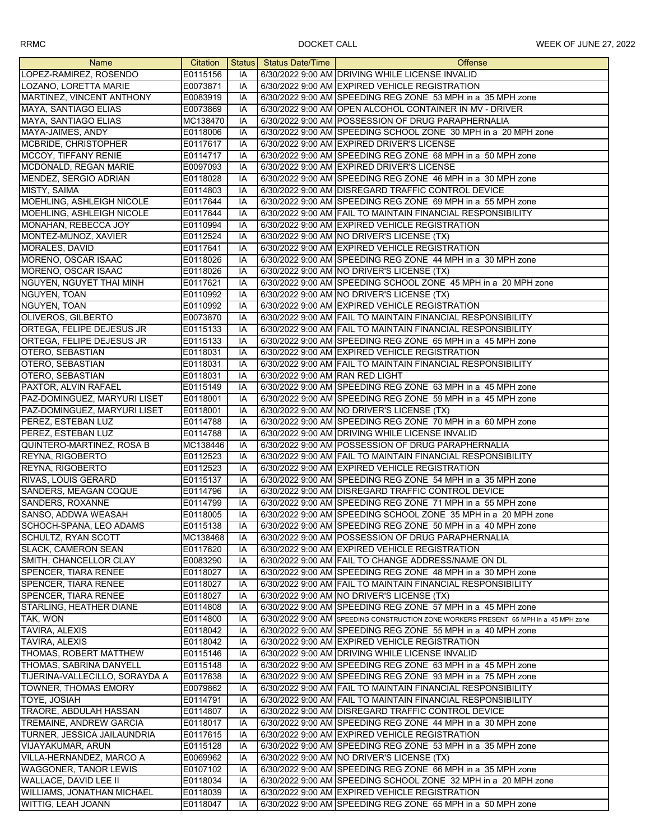| Name                                    | Citation |          | Status Status Date/Time         | <b>Offense</b>                                                                                                    |
|-----------------------------------------|----------|----------|---------------------------------|-------------------------------------------------------------------------------------------------------------------|
| LOPEZ-RAMIREZ, ROSENDO                  | E0115156 | IA       |                                 | 6/30/2022 9:00 AM DRIVING WHILE LICENSE INVALID                                                                   |
| LOZANO, LORETTA MARIE                   | E0073871 | IA       |                                 | 6/30/2022 9:00 AM EXPIRED VEHICLE REGISTRATION                                                                    |
| MARTINEZ, VINCENT ANTHONY               | E0083919 | IA       |                                 | 6/30/2022 9:00 AM SPEEDING REG ZONE 53 MPH in a 35 MPH zone                                                       |
| MAYA, SANTIAGO ELIAS                    | E0073869 | IA       |                                 | 6/30/2022 9:00 AM OPEN ALCOHOL CONTAINER IN MV - DRIVER                                                           |
| MAYA, SANTIAGO ELIAS                    | MC138470 | IA       |                                 | 6/30/2022 9:00 AM POSSESSION OF DRUG PARAPHERNALIA                                                                |
|                                         |          | IA       |                                 |                                                                                                                   |
| MAYA-JAIMES, ANDY                       | E0118006 |          |                                 | 6/30/2022 9:00 AM SPEEDING SCHOOL ZONE 30 MPH in a 20 MPH zone                                                    |
| MCBRIDE, CHRISTOPHER                    | E0117617 | IA       |                                 | 6/30/2022 9:00 AM EXPIRED DRIVER'S LICENSE                                                                        |
| MCCOY, TIFFANY RENIE                    | E0114717 | IA       |                                 | 6/30/2022 9:00 AM SPEEDING REG ZONE 68 MPH in a 50 MPH zone                                                       |
| MCDONALD, REGAN MARIE                   | E0097093 | IA       |                                 | 6/30/2022 9:00 AM EXPIRED DRIVER'S LICENSE                                                                        |
| MENDEZ, SERGIO ADRIAN                   | E0118028 | IA       |                                 | 6/30/2022 9:00 AM SPEEDING REG ZONE 46 MPH in a 30 MPH zone                                                       |
| MISTY, SAIMA                            | E0114803 | IA       |                                 | 6/30/2022 9:00 AM DISREGARD TRAFFIC CONTROL DEVICE                                                                |
| MOEHLING, ASHLEIGH NICOLE               | E0117644 | IA       |                                 | 6/30/2022 9:00 AM SPEEDING REG ZONE 69 MPH in a 55 MPH zone                                                       |
| MOEHLING, ASHLEIGH NICOLE               | E0117644 | IA       |                                 | 6/30/2022 9:00 AM FAIL TO MAINTAIN FINANCIAL RESPONSIBILITY                                                       |
| MONAHAN, REBECCA JOY                    | E0110994 | IA       |                                 | 6/30/2022 9:00 AM EXPIRED VEHICLE REGISTRATION                                                                    |
| MONTEZ-MUNOZ, XAVIER                    | E0112524 | IA       |                                 | 6/30/2022 9:00 AM NO DRIVER'S LICENSE (TX)                                                                        |
| MORALES, DAVID                          | E0117641 | IA       |                                 | 6/30/2022 9:00 AM EXPIRED VEHICLE REGISTRATION                                                                    |
| MORENO, OSCAR ISAAC                     | E0118026 | IA       |                                 | 6/30/2022 9:00 AM SPEEDING REG ZONE 44 MPH in a 30 MPH zone                                                       |
| MORENO, OSCAR ISAAC                     | E0118026 | IA       |                                 | 6/30/2022 9:00 AM NO DRIVER'S LICENSE (TX)                                                                        |
| NGUYEN, NGUYET THAI MINH                | E0117621 | IA       |                                 | 6/30/2022 9:00 AM SPEEDING SCHOOL ZONE 45 MPH in a 20 MPH zone                                                    |
| NGUYEN, TOAN                            | E0110992 | IA       |                                 | 6/30/2022 9:00 AM NO DRIVER'S LICENSE (TX)                                                                        |
| NGUYEN, TOAN                            | E0110992 | IA       |                                 | 6/30/2022 9:00 AM EXPIRED VEHICLE REGISTRATION                                                                    |
| OLIVEROS, GILBERTO                      | E0073870 | IA       |                                 | 6/30/2022 9:00 AM FAIL TO MAINTAIN FINANCIAL RESPONSIBILITY                                                       |
| ORTEGA, FELIPE DEJESUS JR               | E0115133 | IA       |                                 | 6/30/2022 9:00 AM FAIL TO MAINTAIN FINANCIAL RESPONSIBILITY                                                       |
| ORTEGA, FELIPE DEJESUS JR               | E0115133 | IA       |                                 | 6/30/2022 9:00 AM SPEEDING REG ZONE 65 MPH in a 45 MPH zone                                                       |
| <b>OTERO, SEBASTIAN</b>                 | E0118031 | IA       |                                 | 6/30/2022 9:00 AM EXPIRED VEHICLE REGISTRATION                                                                    |
| <b>OTERO, SEBASTIAN</b>                 | E0118031 | IA       |                                 | 6/30/2022 9:00 AM FAIL TO MAINTAIN FINANCIAL RESPONSIBILITY                                                       |
| OTERO, SEBASTIAN                        | E0118031 | IA       | 6/30/2022 9:00 AM RAN RED LIGHT |                                                                                                                   |
| PAXTOR, ALVIN RAFAEL                    | E0115149 | IA       |                                 | 6/30/2022 9:00 AM SPEEDING REG ZONE 63 MPH in a 45 MPH zone                                                       |
| PAZ-DOMINGUEZ, MARYURI LISET            | E0118001 | IA       |                                 | 6/30/2022 9:00 AM SPEEDING REG ZONE 59 MPH in a 45 MPH zone                                                       |
| PAZ-DOMINGUEZ, MARYURI LISET            | E0118001 | IA       |                                 | 6/30/2022 9:00 AM NO DRIVER'S LICENSE (TX)                                                                        |
| PEREZ, ESTEBAN LUZ                      | E0114788 | IA       |                                 | 6/30/2022 9:00 AM SPEEDING REG ZONE 70 MPH in a 60 MPH zone                                                       |
| PEREZ, ESTEBAN LUZ                      | E0114788 | IA       |                                 | 6/30/2022 9:00 AM DRIVING WHILE LICENSE INVALID                                                                   |
| QUINTERO-MARTINEZ, ROSA B               | MC138446 | IA       |                                 | 6/30/2022 9:00 AM POSSESSION OF DRUG PARAPHERNALIA                                                                |
| REYNA, RIGOBERTO                        | E0112523 | IA       |                                 | 6/30/2022 9:00 AM FAIL TO MAINTAIN FINANCIAL RESPONSIBILITY                                                       |
|                                         |          |          |                                 |                                                                                                                   |
| REYNA, RIGOBERTO<br>RIVAS, LOUIS GERARD | E0112523 | IA       |                                 | 6/30/2022 9:00 AM EXPIRED VEHICLE REGISTRATION                                                                    |
|                                         | E0115137 | IA       |                                 | 6/30/2022 9:00 AM SPEEDING REG ZONE 54 MPH in a 35 MPH zone                                                       |
| SANDERS, MEAGAN COQUE                   | E0114796 | IA<br>IA |                                 | 6/30/2022 9:00 AM DISREGARD TRAFFIC CONTROL DEVICE<br>6/30/2022 9:00 AM SPEEDING REG ZONE 71 MPH in a 55 MPH zone |
| SANDERS, ROXANNE                        | E0114799 |          |                                 |                                                                                                                   |
| SANSO, ADDWA WEASAH                     | E0118005 | IA       |                                 | 6/30/2022 9:00 AM SPEEDING SCHOOL ZONE 35 MPH in a 20 MPH zone                                                    |
| SCHOCH-SPANA, LEO ADAMS                 | E0115138 | IA       |                                 | 6/30/2022 9:00 AM SPEEDING REG ZONE 50 MPH in a 40 MPH zone                                                       |
| SCHULTZ, RYAN SCOTT                     | MC138468 | IA       |                                 | 6/30/2022 9:00 AM POSSESSION OF DRUG PARAPHERNALIA                                                                |
| <b>SLACK, CAMERON SEAN</b>              | E0117620 | IA       |                                 | 6/30/2022 9:00 AM EXPIRED VEHICLE REGISTRATION                                                                    |
| SMITH, CHANCELLOR CLAY                  | E0083290 | IA       |                                 | 6/30/2022 9:00 AM FAIL TO CHANGE ADDRESS/NAME ON DL                                                               |
| <b>SPENCER, TIARA RENEE</b>             | E0118027 | IA       |                                 | 6/30/2022 9:00 AM SPEEDING REG ZONE 48 MPH in a 30 MPH zone                                                       |
| SPENCER, TIARA RENEE                    | E0118027 | IA       |                                 | 6/30/2022 9:00 AM FAIL TO MAINTAIN FINANCIAL RESPONSIBILITY                                                       |
| <b>SPENCER, TIARA RENEE</b>             | E0118027 | IA       |                                 | 6/30/2022 9:00 AM NO DRIVER'S LICENSE (TX)                                                                        |
| STARLING, HEATHER DIANE                 | E0114808 | IA       |                                 | 6/30/2022 9:00 AM SPEEDING REG ZONE 57 MPH in a 45 MPH zone                                                       |
| TAK, WON                                | E0114800 | IA       |                                 | 6/30/2022 9:00 AM SPEEDING CONSTRUCTION ZONE WORKERS PRESENT 65 MPH in a 45 MPH zone                              |
| TAVIRA, ALEXIS                          | E0118042 | IA       |                                 | 6/30/2022 9:00 AM SPEEDING REG ZONE 55 MPH in a 40 MPH zone                                                       |
| <b>TAVIRA, ALEXIS</b>                   | E0118042 | IA       |                                 | 6/30/2022 9:00 AM EXPIRED VEHICLE REGISTRATION                                                                    |
| THOMAS, ROBERT MATTHEW                  | E0115146 | IA       |                                 | 6/30/2022 9:00 AM DRIVING WHILE LICENSE INVALID                                                                   |
| THOMAS, SABRINA DANYELL                 | E0115148 | IA       |                                 | 6/30/2022 9:00 AM SPEEDING REG ZONE 63 MPH in a 45 MPH zone                                                       |
| TIJERINA-VALLECILLO, SORAYDA A          | E0117638 | IA       |                                 | 6/30/2022 9:00 AM SPEEDING REG ZONE 93 MPH in a 75 MPH zone                                                       |
| <b>TOWNER, THOMAS EMORY</b>             | E0079862 | IA       |                                 | 6/30/2022 9:00 AM FAIL TO MAINTAIN FINANCIAL RESPONSIBILITY                                                       |
| TOYE, JOSIAH                            | E0114791 | IA       |                                 | 6/30/2022 9:00 AM FAIL TO MAINTAIN FINANCIAL RESPONSIBILITY                                                       |
| TRAORE, ABDULAH HASSAN                  | E0114807 | IA       |                                 | 6/30/2022 9:00 AM DISREGARD TRAFFIC CONTROL DEVICE                                                                |
| TREMAINE, ANDREW GARCIA                 | E0118017 | IA       |                                 | 6/30/2022 9:00 AM SPEEDING REG ZONE 44 MPH in a 30 MPH zone                                                       |
| TURNER, JESSICA JAILAUNDRIA             | E0117615 | IA       |                                 | 6/30/2022 9:00 AM EXPIRED VEHICLE REGISTRATION                                                                    |
| <b>VIJAYAKUMAR, ARUN</b>                | E0115128 | IA       |                                 | 6/30/2022 9:00 AM SPEEDING REG ZONE 53 MPH in a 35 MPH zone                                                       |
| VILLA-HERNANDEZ, MARCO A                | E0069962 | ΙA       |                                 | 6/30/2022 9:00 AM NO DRIVER'S LICENSE (TX)                                                                        |
| <b>WAGGONER, TANOR LEWIS</b>            | E0107102 | IA       |                                 | 6/30/2022 9:00 AM SPEEDING REG ZONE 66 MPH in a 35 MPH zone                                                       |
| WALLACE, DAVID LEE II                   | E0118034 | IA       |                                 | 6/30/2022 9:00 AM SPEEDING SCHOOL ZONE 32 MPH in a 20 MPH zone                                                    |
| WILLIAMS, JONATHAN MICHAEL              | E0118039 | IA       |                                 | 6/30/2022 9:00 AM EXPIRED VEHICLE REGISTRATION                                                                    |
| WITTIG, LEAH JOANN                      | E0118047 | IA       |                                 | 6/30/2022 9:00 AM SPEEDING REG ZONE 65 MPH in a 50 MPH zone                                                       |